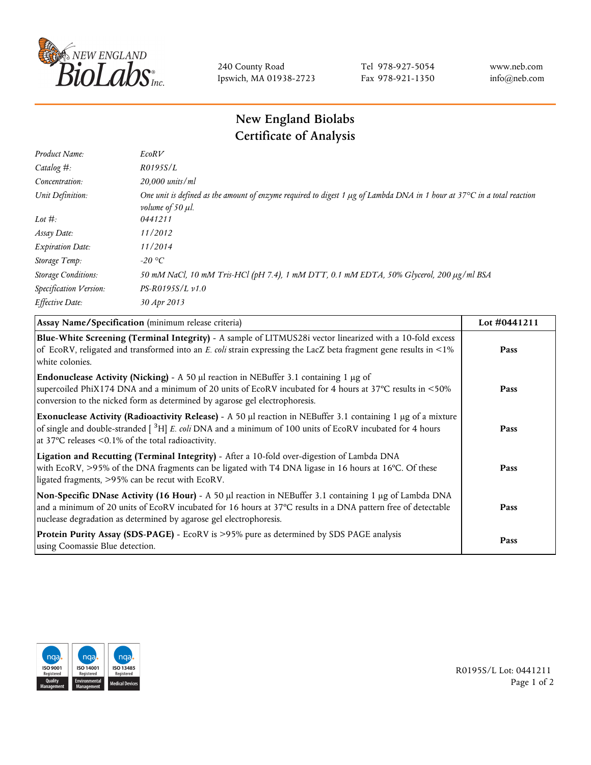

240 County Road Ipswich, MA 01938-2723 Tel 978-927-5054 Fax 978-921-1350 www.neb.com info@neb.com

## **New England Biolabs Certificate of Analysis**

| Product Name:              | EcoRV                                                                                                                                                                            |
|----------------------------|----------------------------------------------------------------------------------------------------------------------------------------------------------------------------------|
| Catalog $#$ :              | R0195S/L                                                                                                                                                                         |
| Concentration:             | $20,000$ units/ml                                                                                                                                                                |
| Unit Definition:           | One unit is defined as the amount of enzyme required to digest 1 $\mu$ g of Lambda DNA in 1 hour at 37 $\degree$ C in a total reaction<br><i>volume of 50 <math>\mu</math>l.</i> |
| Lot $#$ :                  | 0441211                                                                                                                                                                          |
| Assay Date:                | 11/2012                                                                                                                                                                          |
| <b>Expiration Date:</b>    | 11/2014                                                                                                                                                                          |
| Storage Temp:              | -20 °C                                                                                                                                                                           |
| <b>Storage Conditions:</b> | 50 mM NaCl, 10 mM Tris-HCl (pH 7.4), 1 mM DTT, 0.1 mM EDTA, 50% Glycerol, 200 µg/ml BSA                                                                                          |
| Specification Version:     | $PS-R0195S/L \nu 1.0$                                                                                                                                                            |
| Effective Date:            | 30 Apr 2013                                                                                                                                                                      |

| Assay Name/Specification (minimum release criteria)                                                                                                                                                                                                                                                       | Lot #0441211 |
|-----------------------------------------------------------------------------------------------------------------------------------------------------------------------------------------------------------------------------------------------------------------------------------------------------------|--------------|
| Blue-White Screening (Terminal Integrity) - A sample of LITMUS28i vector linearized with a 10-fold excess<br>of EcoRV, religated and transformed into an E. coli strain expressing the LacZ beta fragment gene results in <1%<br>white colonies.                                                          | Pass         |
| <b>Endonuclease Activity (Nicking)</b> - A 50 $\mu$ l reaction in NEBuffer 3.1 containing 1 $\mu$ g of<br>supercoiled PhiX174 DNA and a minimum of 20 units of EcoRV incubated for 4 hours at 37°C results in <50%<br>conversion to the nicked form as determined by agarose gel electrophoresis.         | Pass         |
| Exonuclease Activity (Radioactivity Release) - A 50 $\mu$ l reaction in NEBuffer 3.1 containing 1 $\mu$ g of a mixture<br>of single and double-stranded $\int^3 H$ E. coli DNA and a minimum of 100 units of EcoRV incubated for 4 hours<br>at 37 $\degree$ C releases < 0.1% of the total radioactivity. | Pass         |
| Ligation and Recutting (Terminal Integrity) - After a 10-fold over-digestion of Lambda DNA<br>with EcoRV, >95% of the DNA fragments can be ligated with T4 DNA ligase in 16 hours at 16°C. Of these<br>ligated fragments, >95% can be recut with EcoRV.                                                   | Pass         |
| Non-Specific DNase Activity (16 Hour) - A 50 µl reaction in NEBuffer 3.1 containing 1 µg of Lambda DNA<br>and a minimum of 20 units of EcoRV incubated for 16 hours at 37°C results in a DNA pattern free of detectable<br>nuclease degradation as determined by agarose gel electrophoresis.             | Pass         |
| Protein Purity Assay (SDS-PAGE) - EcoRV is >95% pure as determined by SDS PAGE analysis<br>using Coomassie Blue detection.                                                                                                                                                                                | Pass         |



R0195S/L Lot: 0441211 Page 1 of 2